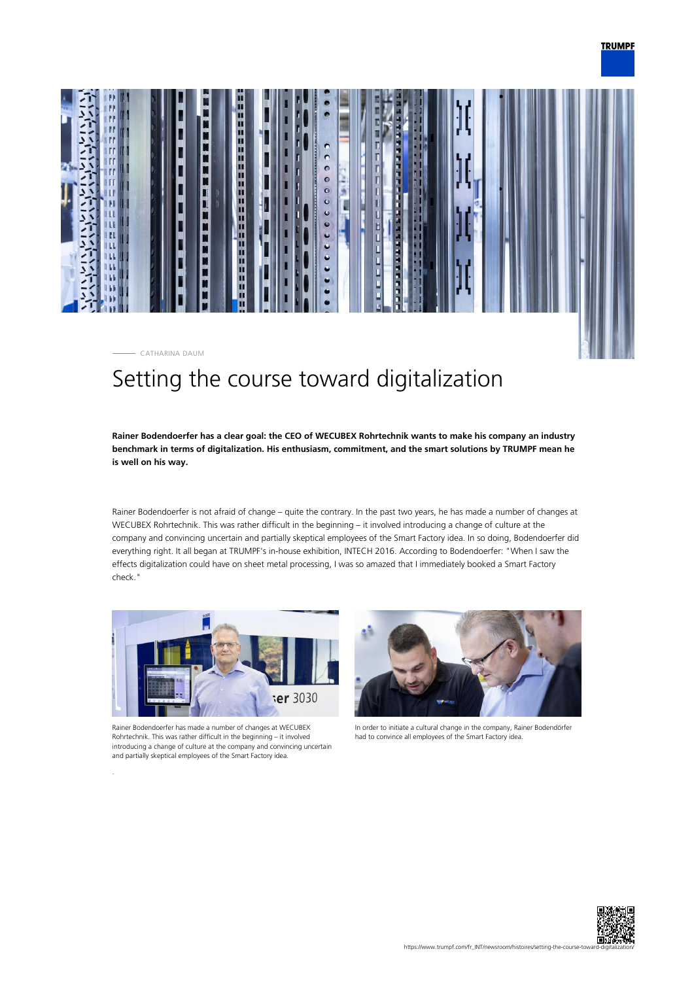



# Setting the course toward digitalization

**Rainer Bodendoerfer has a clear goal: the CEO of WECUBEX Rohrtechnik wants to make his company an industry benchmark in terms of digitalization. His enthusiasm, commitment, and the smart solutions by TRUMPF mean he is well on his way.**

Rainer Bodendoerfer is not afraid of change – quite the contrary. In the past two years, he has made a number of changes at WECUBEX Rohrtechnik. This was rather difficult in the beginning – it involved introducing a change of culture at the company and convincing uncertain and partially skeptical employees of the Smart Factory idea. In so doing, Bodendoerfer did everything right. It all began at TRUMPF's in-house exhibition, INTECH 2016. According to Bodendoerfer: "When I saw the effects digitalization could have on sheet metal processing, I was so amazed that I immediately booked a Smart Factory check."



Rainer Bodendoerfer has made a number of changes at WECUBEX Rohrtechnik. This was rather difficult in the beginning – it involved introducing a change of culture at the company and convincing uncertain and partially skeptical employees of the Smart Factory idea.



In order to initiate a cultural change in the company, Rainer Bodendörfer had to convince all employees of the Smart Factory idea.

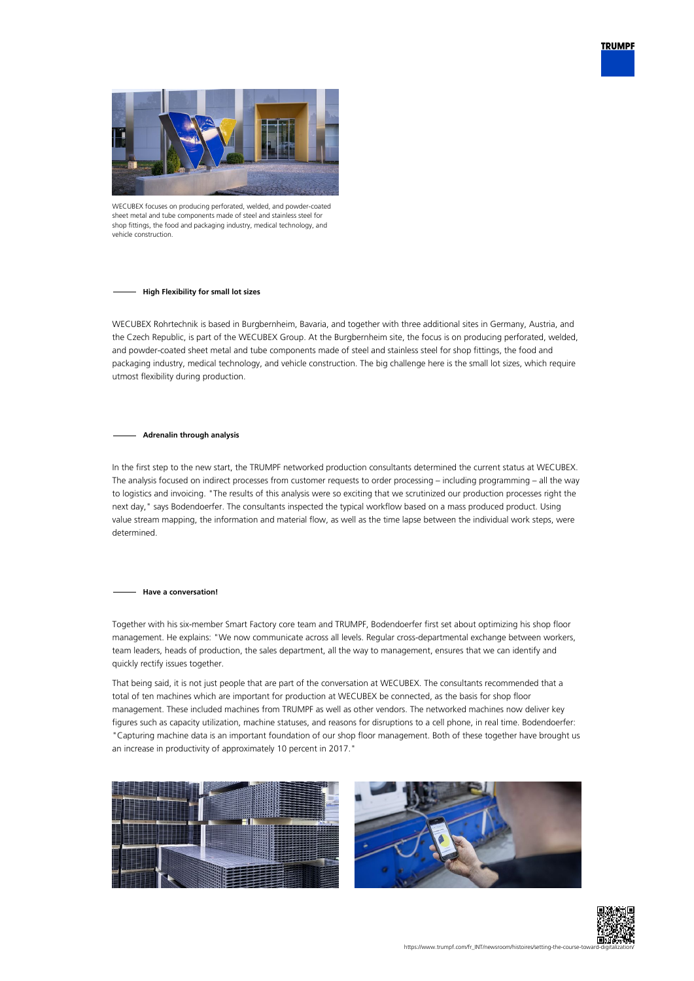



WECUBEX focuses on producing perforated, welded, and powder-coated sheet metal and tube components made of steel and stainless steel for shop fittings, the food and packaging industry, medical technology, and vehicle construction

## **High Flexibility for small lot sizes**

WECUBEX Rohrtechnik is based in Burgbernheim, Bavaria, and together with three additional sites in Germany, Austria, and the Czech Republic, is part of the WECUBEX Group. At the Burgbernheim site, the focus is on producing perforated, welded, and powder-coated sheet metal and tube components made of steel and stainless steel for shop fittings, the food and packaging industry, medical technology, and vehicle construction. The big challenge here is the small lot sizes, which require utmost flexibility during production.

## **Adrenalin through analysis**

In the first step to the new start, the TRUMPF networked production consultants determined the current status at WECUBEX. The analysis focused on indirect processes from customer requests to order processing – including programming – all the way to logistics and invoicing. "The results of this analysis were so exciting that we scrutinized our production processes right the next day," says Bodendoerfer. The consultants inspected the typical workflow based on a mass produced product. Using value stream mapping, the information and material flow, as well as the time lapse between the individual work steps, were determined.

## **Have a conversation!**

Together with his six-member Smart Factory core team and TRUMPF, Bodendoerfer first set about optimizing his shop floor management. He explains: "We now communicate across all levels. Regular cross-departmental exchange between workers, team leaders, heads of production, the sales department, all the way to management, ensures that we can identify and quickly rectify issues together.

That being said, it is not just people that are part of the conversation at WECUBEX. The consultants recommended that a total of ten machines which are important for production at WECUBEX be connected, as the basis for shop floor management. These included machines from TRUMPF as well as other vendors. The networked machines now deliver key figures such as capacity utilization, machine statuses, and reasons for disruptions to a cell phone, in real time. Bodendoerfer: "Capturing machine data is an important foundation of our shop floor management. Both of these together have brought us an increase in productivity of approximately 10 percent in 2017."





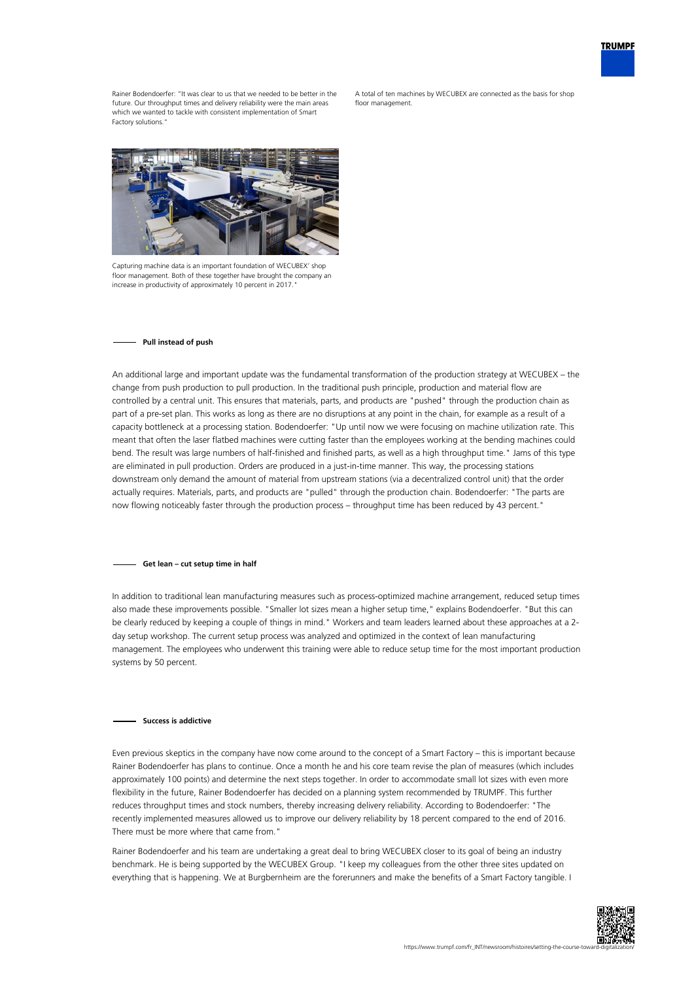

Rainer Bodendoerfer: "It was clear to us that we needed to be better in the future. Our throughput times and delivery reliability were the main areas which we wanted to tackle with consistent implementation of Smart Factory solutions.

A total of ten machines by WECUBEX are connected as the basis for shop floor management



Capturing machine data is an important foundation of WECUBEX' shop floor management. Both of these together have brought the company an increase in productivity of approximately 10 percent in 2017.

#### **Pull instead of push**

An additional large and important update was the fundamental transformation of the production strategy at WECUBEX – the change from push production to pull production. In the traditional push principle, production and material flow are controlled by a central unit. This ensures that materials, parts, and products are "pushed" through the production chain as part of a pre-set plan. This works as long as there are no disruptions at any point in the chain, for example as a result of a capacity bottleneck at a processing station. Bodendoerfer: "Up until now we were focusing on machine utilization rate. This meant that often the laser flatbed machines were cutting faster than the employees working at the bending machines could bend. The result was large numbers of half-finished and finished parts, as well as a high throughput time." Jams of this type are eliminated in pull production. Orders are produced in a just-in-time manner. This way, the processing stations downstream only demand the amount of material from upstream stations (via a decentralized control unit) that the order actually requires. Materials, parts, and products are "pulled" through the production chain. Bodendoerfer: "The parts are now flowing noticeably faster through the production process – throughput time has been reduced by 43 percent."

#### **Get lean – cut setup time in half**

In addition to traditional lean manufacturing measures such as process-optimized machine arrangement, reduced setup times also made these improvements possible. "Smaller lot sizes mean a higher setup time," explains Bodendoerfer. "But this can be clearly reduced by keeping a couple of things in mind." Workers and team leaders learned about these approaches at a 2 day setup workshop. The current setup process was analyzed and optimized in the context of lean manufacturing management. The employees who underwent this training were able to reduce setup time for the most important production systems by 50 percent.

## **Success is addictive**

Even previous skeptics in the company have now come around to the concept of a Smart Factory – this is important because Rainer Bodendoerfer has plans to continue. Once a month he and his core team revise the plan of measures (which includes approximately 100 points) and determine the next steps together. In order to accommodate small lot sizes with even more flexibility in the future, Rainer Bodendoerfer has decided on a planning system recommended by TRUMPF. This further reduces throughput times and stock numbers, thereby increasing delivery reliability. According to Bodendoerfer: "The recently implemented measures allowed us to improve our delivery reliability by 18 percent compared to the end of 2016. There must be more where that came from."

Rainer Bodendoerfer and his team are undertaking a great deal to bring WECUBEX closer to its goal of being an industry benchmark. He is being supported by the WECUBEX Group. "I keep my colleagues from the other three sites updated on everything that is happening. We at Burgbernheim are the forerunners and make the benefits of a Smart Factory tangible. I